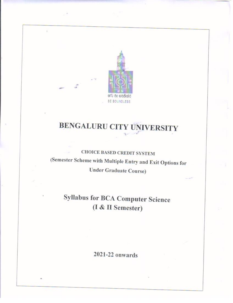

# **BENGALURU CITY UNIVERSITY**

## **CHOICE BASED CREDIT SYSTEM** (Semester Scheme with Multiple Entry and Exit Options for **Under Graduate Course)**

# **Syllabus for BCA Computer Science** (I & II Semester)

2021-22 onwards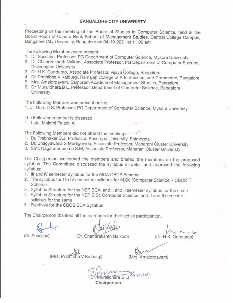### **BANGALORE CITY UNIVERISTY**

Proceeding of the meeting of the Board of Studies in Computer Science, held in the Board Room of Canara Bank School of Management Studies, Central College Campus, Bangalore City University, Bangalore on 04-10-2021 at 11.00 am

The Following Members were present:

- 1. Dr. Susesha, Professor, PG Department of Computer Science, Mysore Univeristy
- 2. Dr. Chandrakanth Naikodi, Associate Professor, PG Department of Computer Science. Davanagere University
- 3. Dr. H.K. Gundurao, Associate Professor, Vijaya College, Bangalore
- 4. Dr. Prathibha V Kalburgi, Ramaiah College of Arts Science, and Commerce, Bangalore
- 5. Mrs. Amalorpavam, Sambram Academi of Management Studies, Bangalore
- 6. Dr. Muralidhara B L, Professor, Department of Computer Science, Bangalore University

The Following Member was present online

1. Dr. Guru D.S, Professor, PG Department of Computer Science, Mysore Univeristy

The Following member is diseased

1. Late, Malathi Palani, A

The Following Members did not attend the meeting.

- 1. Dr. Prabhakar C.J, Professor, Kuvempu University, Shimogga
- 2. Dr. Bhagyawana S Mudigowda, Associate Professor, Maharani Cluster University
- 3. Smt. Nagarathnamma S.M, Associate Professor, Maharani Cluster Univeristy

The Chairperson welcomed the members and briefed the members on the proposed syllabus. The Committee discussed the syllabus in detail and approved the following syllabus:

- 1. Ill and IV semester syllabus for the MCA CBCS Scheme
- 2. The syllabus for I to IV semesters syllabus for M.Sc (Computer Science) CBCS Scheme
- 3. Syllabus Structure for the NEP BCA, and I, and II semester syllabus for the same
- 4. Syllabus Structure for the NEP B.Sc Computer Science, and I and II semester syllabus for the same
- 5. Electives for the CBCS BCA Syllabus

The Chairperson thanked all the members for their active participation.

(Dr. H.K. Gundurao)

(Dr. Susesha)

(Dr. Chandrakanth Naikodi)

(Mrs. Prathibha V Kalburgi)

(Mrs. Amalorpavam)

Muralidhara B L) 04 10.202

Chairperson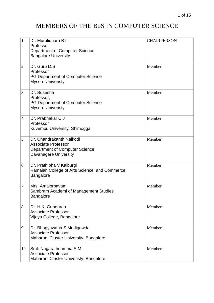## MEMBERS OF THE BoS IN COMPUTER SCIENCE

| $\mathbf{1}$   | Dr. Muralidhara B L<br>Professor<br><b>Department of Computer Science</b><br><b>Bangalore University</b>                 | <b>CHAIRPERSON</b> |
|----------------|--------------------------------------------------------------------------------------------------------------------------|--------------------|
| $\overline{2}$ | Dr. Guru D.S<br>Professor<br>PG Department of Computer Science<br><b>Mysore Univeristy</b>                               | Member             |
| 3              | Dr. Susesha<br>Professor,<br>PG Department of Computer Science<br><b>Mysore Univeristy</b>                               | Member             |
| $\overline{4}$ | Dr. Prabhakar C.J<br>Professor<br>Kuvempu University, Shimogga                                                           | Member             |
| 5              | Dr. Chandrakanth Naikodi<br><b>Associate Professor</b><br><b>Department of Computer Science</b><br>Davanagere University | Member             |
| 6              | Dr. Prathibha V Kalburgi<br>Ramaiah College of Arts Science, and Commerce<br><b>Bangalore</b>                            | Member             |
| 7              | Mrs. Amalorpavam<br>Sambram Academi of Management Studies<br>Bangalore                                                   | Member             |
| 8              | Dr. H.K. Gundurao<br><b>Associate Professor</b><br>Vijaya College, Bangalore                                             | Member             |
| 9              | Dr. Bhagyawana S Mudigowda<br><b>Associate Professor</b><br>Maharani Cluster University, Bangalore                       | Member             |
| 10             | Smt. Nagarathnamma S.M<br><b>Associate Professor</b><br>Maharani Cluster Univeristy, Bangalore                           | Member             |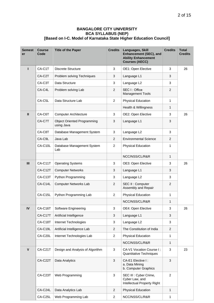### **BANGALORE CITY UNIVERSITY BCA SYLLABUS (NEP) [Based on I-C. Model of Karnataka State Higher Education Council]**

| <b>Semest</b><br>er | <b>Course</b><br>Code | <b>Title of the Paper</b>                        | <b>Credits</b> | Languages, Skill<br>Enhancement (SEC), and<br><b>Ability Enhancement</b><br><b>Courses (AECC)</b> | <b>Credits</b> | <b>Total</b><br><b>Credits</b> |  |
|---------------------|-----------------------|--------------------------------------------------|----------------|---------------------------------------------------------------------------------------------------|----------------|--------------------------------|--|
| ı                   | CA-C1T                | <b>Discrete Structure</b>                        | 3              | OE1: Open Elective                                                                                | 3              | 26                             |  |
|                     | CA-C2T                | Problem solving Techniques                       | 3              | Language L1                                                                                       | 3              |                                |  |
|                     | CA-C3T                | Data Structure                                   | 3              | Language L2                                                                                       | 3              |                                |  |
|                     | CA-C4L                | Problem solving Lab                              | 2              | SEC I: Office<br><b>Management Tools</b>                                                          | $\overline{2}$ |                                |  |
|                     | CA-C5L                | Data Structure Lab                               | $\overline{2}$ | <b>Physical Education</b>                                                                         | 1              |                                |  |
|                     |                       |                                                  |                | Health & Willingness                                                                              | 1              |                                |  |
| $\mathbf{I}$        | CA-C6T                | <b>Computer Architecture</b>                     | 3              | OE2: Open Elective                                                                                | 3              | 26                             |  |
|                     | CA-C7T                | <b>Object Oriented Programming</b><br>using Java | 3              | Language L1                                                                                       | 3              |                                |  |
|                     | CA-C8T                | Database Management System                       | 3              | Language L2                                                                                       | 3              |                                |  |
|                     | CA-C9L                | Java Lab                                         | 2              | <b>Environmental Science</b>                                                                      | 2              |                                |  |
|                     | CA-C10L               | Database Management System<br>Lab                | 2              | <b>Physical Education</b>                                                                         | 1              |                                |  |
|                     |                       |                                                  |                | NCC/NSS/CL/R&R                                                                                    | 1              |                                |  |
| III                 | CA-C11T               | <b>Operating Systems</b>                         | 3              | OE3: Open Elective                                                                                | 3              | 26                             |  |
|                     | CA-C12T               | <b>Computer Networks</b>                         | 3              | Language L1                                                                                       | 3              |                                |  |
|                     | CA-C13T               | Python Programming                               | 3              | Language L2                                                                                       | 3              |                                |  |
|                     | CA-C14L               | <b>Computer Networks Lab</b>                     | $\overline{c}$ | SEC II : Computer<br>Assembly and Repair                                                          | 2              |                                |  |
|                     | CA-C15L               | Python Programming Lab                           | 2              | Physical Education                                                                                | 1              |                                |  |
|                     |                       |                                                  |                | NCC/NSS/CL/R&R                                                                                    | 1              |                                |  |
| ${\sf IV}$          | $CA-C16T$             | Software Engineering                             | 3              | OE4: Open Elective                                                                                | 3              | 26                             |  |
|                     | <b>CA-C17T</b>        | Artificial Intelligence                          | 3              | Language L1                                                                                       | 3              |                                |  |
|                     | CA-C18T               | Internet Technologies                            | 3              | Language L2                                                                                       | 3              |                                |  |
|                     | CA-C19L               | Artificial Intelligence Lab                      | $\overline{c}$ | The Constitution of India                                                                         | $\overline{2}$ |                                |  |
|                     | CA-C20L               | Internet Technologies Lab                        | $\overline{c}$ | Physical Education                                                                                | 1              |                                |  |
|                     |                       |                                                  |                | NCC/NSS/CL/R&R                                                                                    | $\mathbf{1}$   |                                |  |
| $\mathsf{V}$        | CA-C21T               | Design and Analysis of Algorithm                 | $\mathbf{3}$   | CA-V1 Vocation Course I:<br>Quantitative Techniques                                               | 3              | 23                             |  |
|                     | CA-C22T               | Data Analytics                                   | $\sqrt{3}$     | CA-E1 Elective I:<br>a. Data Mining<br>b. Computer Graphics                                       | 3              |                                |  |
|                     | CA-C23T               | Web Programming                                  | $\sqrt{3}$     | SEC III : Cyber Crime,<br>Cyber Law, and<br>Intellectual Property Right                           | $\overline{c}$ |                                |  |
|                     | CA-C24L               | Data Analytics Lab                               | $\overline{2}$ | Physical Education                                                                                | 1              |                                |  |
|                     | CA-C25L               | Web Programming Lab                              | $\overline{c}$ | NCC/NSS/CL/R&R                                                                                    | 1              |                                |  |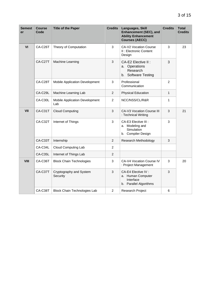| <b>Semest</b><br>er | <b>Course</b><br>Code | <b>Title of the Paper</b>             | <b>Credits</b> | Languages, Skill<br><b>Enhancement (SEC), and</b><br><b>Ability Enhancement</b><br><b>Courses (AECC)</b> | <b>Credits</b> | <b>Total</b><br><b>Credits</b> |
|---------------------|-----------------------|---------------------------------------|----------------|----------------------------------------------------------------------------------------------------------|----------------|--------------------------------|
| VI                  | CA-C26T               | Theory of Computation                 | 3              | CA-V2 Vocation Course<br>II : Electronic Content<br>Design                                               | 3              | 23                             |
|                     | CA-C27T               | Machine Learning                      | $\mathbf{3}$   | CA-E2 Elective II :<br>a. Operations<br>Research<br>b. Software Testing                                  | 3              |                                |
|                     | CA-C28T               | Mobile Application Development        | 3              | Professional<br>Communication                                                                            | $\overline{2}$ |                                |
|                     | CA-C29L               | Machine Learning Lab                  | $\overline{2}$ | <b>Physical Education</b>                                                                                | $\mathbf{1}$   |                                |
|                     | CA-C30L               | Mobile Application Development<br>Lab | $\overline{c}$ | NCC/NSS/CL/R&R                                                                                           | 1              |                                |
| VII                 | CA-C31T               | <b>Cloud Computing</b>                | 3              | CA-V3 Vocation Course III<br>: Technical Writing                                                         | 3              | 21                             |
|                     | CA-C32T               | Internet of Things                    | 3              | CA-E3 Elective III :<br>a. Modeling and<br>Simulation<br>b. Compiler Design                              | 3              |                                |
|                     | CA-C33T               | Internship                            | 2              | Research Methodology                                                                                     | 3              |                                |
|                     | CA-C34L               | Cloud Computing Lab                   | 2              |                                                                                                          |                |                                |
|                     | CA-C35L               | Internet of Things Lab                | $\overline{c}$ |                                                                                                          |                |                                |
| VIII                | CA-C36T               | <b>Block Chain Technologies</b>       | 3              | CA-V4 Vocation Course IV<br>: Project Management                                                         | 3              | 20                             |
|                     | CA-C37T               | Cryptography and System<br>Security   | 3              | CA-E4 Elective IV :<br>a. Human Computer<br>Interface<br>b. Parallel Algorithms                          | 3              |                                |
|                     | CA-C38T               | <b>Block Chain Technologies Lab</b>   | $\overline{c}$ | Research Project                                                                                         | 6              |                                |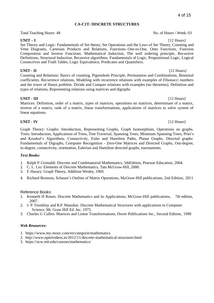### **CA-C1T: DISCRETE STRUCTURES**

Total Teaching Hours: 48 No. of Hours / Week: 03

**UNIT – I** [12 Hours] Set Theory and Logic: Fundamentals of Set theory, Set Operations and the Laws of Set Theory, Counting and Venn Diagrams, Cartesian Products and Relations, Functions–One-to-One, Onto Functions, Function Composition and Inverse Functions. Mathematical Induction, The well ordering principle, Recursive Definitions, Structural Induction, Recursive algorithms. Fundamentals of Logic, Propositional Logic, Logical Connectives and Truth Tables, Logic Equivalence, Predicates and Quantifiers.

### **UNIT - II** [12 Hours]

Counting and Relations: Basics of counting, Pigeonhole Principle, Permutation and Combinations, Binomial coefficients. Recurrence relations, Modeling with recurrence relations with examples of Fibonacci numbers and the tower of Hanoi problem. Divide and Conquer relations with examples (no theorems). Definition and types of relations, Representing relations using matrices and digraphs

### **UNIT - III** [12 Hours]

Matrices: Definition, order of a matrix, types of matrices, operations on matrices, determinant of a matrix, inverse of a matrix, rank of a matrix, linear transformations, applications of matrices to solve system of linear equations.

### **UNIT - IV** [12 Hours]

Graph Theory: Graphs: Introduction, Representing Graphs, Graph Isomorphism, Operations on graphs. Trees: Introduction, Applications of Trees, Tree Traversal, Spanning Trees, Minimum Spanning Trees, Prim's and Kruskul's Algorithms. Connectivity, Euler and Hamilton Paths, Planar Graphs. Directed graphs: Fundamentals of Digraphs, Computer Recognition - Zero-One Matrices and Directed Graphs, Out-degree, in-degree, connectivity, orientation, Eulerian and Hamilton directed graphs, tournaments.

### *Text Books:*

- 1. Ralph P. Grimaldi: Discrete and Combinatorial Mathematics, 5thEdition, Pearson Education, 2004.
- 2. C. L. Liu: Elements of Discrete Mathematics, Tata McGraw-Hill, 2000.
- 3. F. Harary: Graph Theory, Addition Wesley, 1969.
- 4. Richard Bronson, Schaum's Outline of Matrix Operations, McGraw-Hill publications, 2nd Edition, 2011

### Reference Books:

- 1. Kenneth H Rosen. Discrete Mathematics and its Applications, McGraw-Hill publications, 7th edition, 2007.
- 2. J. P. Tremblay and R.P. Manohar. Discrete Mathematical Structures with applications to Computer Science, Mc Graw Hill Ed. Inc. 1975.
- 3. Charles G Cullen. Matrices and Linear Transformations, Dover Publications Inc., Second Edition, 1990

### *Web Resources:*

- 1. h[ttps://www.my-mooc.com/en/categorie/mathematics](http://www.my-mooc.com/en/categorie/mathematics)
- 2. <http://www.nptelvideos.in/2012/11/discrete-mathematical-structures.html>
- 3. https://ocw.mit.edu/courses/mathematics/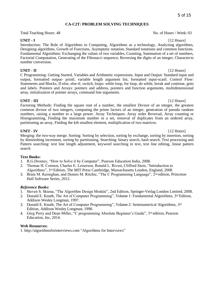### **CA-C2T: PROBLEM SOLVING TECHNIQUES**

Total Teaching Hours: 48 No. of Hours / Week: 03

**UNIT - I** [12 Hours] Introduction: The Role of Algorithms in Computing, Algorithms as a technology, Analyzing algorithms, Designing algorithms, Growth of Functions, Asymptotic notation, Standard notations and common functions. Fundamental Algorithms: Exchanging the values of two variables, Counting, Summation of a set of numbers, Factorial Computation, Generating of the Fibonacci sequence, Reversing the digits of an integer, Characterto number conversion.

**UNIT - II** [12 Hours] C Programming: Getting Started, Variables and Arithmetic expressions. Input and Output: Standard input and output, formatted output- printf, variable length argument list, formatted input-scanf. Control Flow: Statements and Blocks, If-else, else-if, switch, loops: while loop, for loop, do while, break and continue, goto and labels. Pointers and Arrays: pointers and address, pointers and function arguments, multidimensional array, initialization of pointer arrays, command line arguments.

**UNIT - III** [12 Hours] Factoring Methods: Finding the square root of a number, the smallest Divisor of an integer, the greatest common divisor of two integers, computing the prime factors of an integer, generation of pseudo random numbers, raising a number to a large power. Array Techniques: Array order Reversal, Array counting or Histogramming, Finding the maximum number in a set, removal of duplicates from an ordered array, partitioning an array, Finding the kth smallest element, multiplication of two matrices.

**UNIT - IV** [12 Hours] Merging: the two-way merge. Sorting: Sorting by selection, sorting by exchange, sorting by insertion, sorting by diminishing increment, sorting by partitioning. Searching: binary search, hash search. Text processing and Pattern searching: text line length adjustment, keyword searching in text, text line editing, linear pattern search

### **Text Books:**

- 1. R.G.Dromey, "How to Solve it by Computer", Pearson Education India, 2008.
- 2. Thomas H. Cormen, Charles E. Leiserson, Ronald L. Rivest, Clifford Stein, "Introduction to Algorithms", 3rd Edition, The MIT Press Cambridge, Massachusetts London, England, 2008
- 3. Brain M. Kernighan, and Dennis M. Ritchie, "The C Programming Language", 2nd edition, Princeton Hall Software Series, 2012.

### *Reference Books:*

- 1. Steven S. Skiena, "The Algorithm Design Module", 2nd Edition, Springer-Verlag London Limited, 2008.
- 2. Donald E. Knuth, The Art of Computer Programming", Volume 1: Fundamental Algorithms, 3<sup>rd</sup> Edition, Addison Wesley Longman, 1997.
- 3. Donald E. Knuth, The Art of Computer Programming", Volume 2: Seminumerical Algorithms, 3rd Edition, Addison Wesley Longman, 1998.
- 4. Greg Perry and Dean Miller, "C programming Absolute Beginner's Guide", 3rd edition, Pearson Education, Inc, 2014.

### **Web Resources:**

1. [http://algorithmsforinterviews.com "](http://algorithmsforinterviews.com/)Algorithms for Interviews"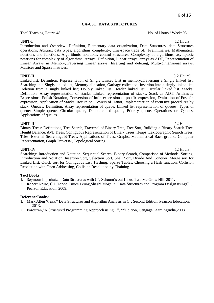### **CA-C3T: DATA STRUCTURES**

Total Teaching Hours: 48 No. of Hours / Week: 03

### **UNIT-I** [12 Hours]

Introduction and Overview: Definition, Elementary data organization, Data Structures, data Structures operations, Abstract data types, algorithms complexity, time-space trade off. Preliminaries: Mathematical notations and functions, Algorithmic notations, control structures, Complexity of algorithms, asymptotic notations for complexity of algorithms. Arrays: Definition, Linear arrays, arrays as ADT, Representation of Linear Arrays in Memory,Traversing Linear arrays, Inserting and deleting, Multi-dimensional arrays, Matrices and Sparse matrices.

**UNIT-II** [12 Hours] Linked list: Definition, Representation of Singly Linked List in memory,Traversing a Singly linked list, Searching in a Singly linked list, Memory allocation, Garbage collection, Insertion into a singly linked list, Deletion from a singly linked list; Doubly linked list, Header linked list, Circular linked list. Stacks: Definition, Array representation of stacks, Linked representation of stacks, Stack as ADT, Arithmetic Expressions: Polish Notation, Conversion of infix expression to postfix expression, Evaluation of Post fix expression, Application of Stacks, Recursion, Towers of Hanoi, Implementation of recursive procedures by stack. Queues: Definition, Array representation of queue, Linked list representation of queues. Types of queue: Simple queue, Circular queue, Double-ended queue, Priority queue, Operations on Queues, Applications of queues.

### **UNIT-III** [12 Hours]

Binary Trees: Definitions, Tree Search, Traversal of Binary Tree, Tree Sort, Building a Binary Search Tree, Height Balance: AVLTrees, Contiguous Representation of Binary Trees: Heaps, Lexicographic Search Trees: Tries, External Searching: B-Trees, Applications of Trees. Graphs: Mathematical Back ground, Computer Representation, Graph Traversal, Topological Sorting

**UNIT-IV** [12 Hours] Searching: Introduction and Notation, Sequential Search, Binary Search, Comparison of Methods. Sorting: Introduction and Notation, Insertion Sort, Selection Sort, Shell Sort, Divide And Conquer, Merge sort for Linked List, Quick sort for Contiguous List. Hashing: Sparse Tables, Choosing a Hash function, Collision Resolution with Open Addressing, Collision Resolution by Chaining.

### **Text Books:**

- 1. Seymour Lipschutz, "Data Structures with C", Schaum's out Lines, Tata Mc Graw Hill, 2011.
- 2. Robert Kruse, C.L.Tondo, Bruce Leung,Shashi Mogalla,"Data Structures and Program Design usingC", Pearson Education, 2009.

### **ReferenceBooks:**

- 1. Mark Allen Weiss," Data Structures and Algorithm Analysis in C", Second Edition, Pearson Education, 2013.
- 2. Forouzan,"A Structured Programming Approach using C",2nd Edition, Cengage LearningIndia,2008.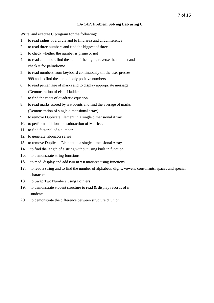### **CA-C4P: Problem Solving Lab using C**

Write, and execute C program for the following:

- 1. to read radius of a circle and to find area and circumference
- 2. to read three numbers and find the biggest of three
- 3. to check whether the number is prime or not
- 4. to read a number, find the sum of the digits, reverse the number and check it for palindrome
- 5. to read numbers from keyboard continuously till the user presses 999 and to find the sum of only positive numbers
- 6. to read percentage of marks and to display appropriate message (Demonstration of else-if ladder
- 7. to find the roots of quadratic equation
- 8. to read marks scored by n students and find the average of marks (Demonstration of single dimensional array)
- 9. to remove Duplicate Element in a single dimensional Array
- 10. to perform addition and subtraction of Matrices
- 11. to find factorial of a number
- 12. to generate fibonacci series
- 13. to remove Duplicate Element in a single dimensional Array
- 14. to find the length of a string without using built in function
- 15. to demonstrate string functions
- 16. to read, display and add two m x n matrices using functions
- 17. to read a string and to find the number of alphabets, digits, vowels, consonants, spaces and special characters.
- 18. to Swap Two Numbers using Pointers
- 19. to demonstrate student structure to read & display records of n students
- 20. to demonstrate the difference between structure & union.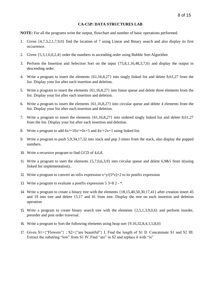### **CA-C5P: DATA STRUCTURES LAB**

**NOTE:** For all the programs write the output, flowchart and number of basic operations performed.

- 1. Given {4,7,3,2,1,7,9,0} find the location of 7 using Linear and Binary search and also display its first occurrence.
- 2. Given {5,3,1,6,0,2,4} order the numbers in ascending order using Bubble Sort Algorithm
- 3. Perform the Insertion and Selection Sort on the input {75,8,1,16,48,3,7,0} and display the output in descending order.
- 4. Write a program to insert the elements {61,16,8,27} into singly linked list and delete 8,61,27 from the list. Display your list after each insertion and deletion.
- 5. Write a program to insert the elements {61,16,8,27} into linear queue and delete three elements from the list. Display your list after each insertion and deletion.
- 6. Write a program to insert the elements {61,16,8,27} into circular queue and delete 4 elements from the list. Display your list after each insertion and deletion.
- 7. Write a program to insert the elements {61,16,8,27} into ordered singly linked list and delete 8,61,27 from the list. Display your list after each insertion and deletion.
- 8. Write a program to add  $6x^3+10x^2+0x+5$  and  $4x^2+2x+1$  using linked list.
- 9. Write a program to push 5,9,34,17,32 into stack and pop 3 times from the stack, also display the popped numbers.
- 10. Write a recursive program to find GCD of 4,6,8.
- 11. Write a program to inert the elements {5,7,0,6,3,9} into circular queue and delete 6,9&5 from it(using linked list implementation)..
- 12. Write a program to convert an infix expression  $x^{\lambda}y/(5^{*}z)+2$  to its postfix expression
- 13. Write a program to evaluate a postfix expression 5 3+8 2 \*.
- 14. Write a program to create a binary tree with the elements {18,15,40,50,30,17,41} after creation insert 45 and 19 into tree and delete 15,17 and 41 from tree. Display the tree on each insertion and deletion operation
- 15. Write a program to create binary search tree with the elements {2,5,1,3,9,0,6} and perform inorder, preorder and post order traversal.
- 16. Write a program to Sort the following elements using heap sort {9.16,32,8,4,1,5,8,0}
- 17. Given S1={"Flowers"} ; S2={"are beautiful"} I. Find the length of S1 II. Concatenate S1 and S2 III. Extract the substring "low" from S1 IV. Find "are" in S2 and replace it with "is"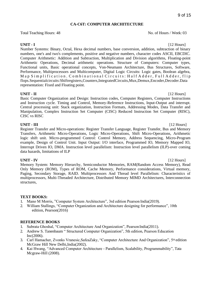### **CA-C6T: COMPUTER ARCHITECTURE**

Total Teaching Hours: 48 No. of Hours / Week: 03

**UNIT - I** [12 Hours] Number Systems: Binary, Octal, Hexa decimal numbers, base conversion, addition, subtraction of binary numbers, one's and two's complements, positive and negative numbers, character codes ASCII, EBCDIC. Computer Arithmetic: Addition and Subtraction, Multiplication and Division algorithms, Floating-point Arithmetic Operations, Decimal arithmetic operations. Structure of Computers: Computer types, Functional units, Basic operational concepts, Von-Neumann Architecture, Bus Structures, Software, Performance, Multiprocessors and Multicomputer, Digital Logic Circuits: Logic gates, Boolean algebra, Map Simplification. Combinational Circuits: Half Adder, Full Adder, flip flops.Sequentialcircuits:Shiftregisters,Counters,IntegratedCircuits,Mux,Demux,Encoder,Decoder.Data representation: Fixed and Floating point.

**UNIT - II** [12 Hours] Basic Computer Organization and Design: Instruction codes, Computer Registers, Computer Instructions and Instruction cycle. Timing and Control, Memory-Reference Instructions, Input-Output and interrupt. Central processing unit: Stack organization, Instruction Formats, Addressing Modes, Data Transfer and Manipulation, Complex Instruction Set Computer (CISC) Reduced Instruction Set Computer (RISC), CISC vs RISC

**UNIT - III** [12 Hours] Register Transfer and Micro-operations: Register Transfer Language, Register Transfer, Bus and Memory Transfers, Arithmetic Micro-Operations, Logic Micro-Operations, Shift Micro-Operations, Arithmetic logic shift unit. Micro-programmed Control: Control Memory, Address Sequencing, Micro-Program example, Design of Control Unit. Input Output: I/O interface, Programmed IO, Memory Mapped IO, Interrupt Driven IO, DMA. Instruction level parallelism: Instruction level parallelism (ILP)-over coming data hazards, limitations of ILP

**UNIT - IV** [12 Hours] Memory System: Memory Hierarchy, Semiconductor Memories, RAM(Random Access Memory), Read Only Memory (ROM), Types of ROM, Cache Memory, Performance considerations, Virtual memory, Paging, Secondary Storage, RAID. Multiprocessors And Thread level Parallelism: Characteristics of multiprocessors, Multi-Threaded Architecture, Distributed Memory MIMD Architectures, Interconnection structures,

### **TEXT BOOKS:**

- 1. Mano M Morris, "Computer System Architecture", 3rd edition Pearson India(2019).
- 2. William Stallings, "Computer Organization and Architecture designing for performance", 10th edition, Pearson(2016)

### **REFERENCE BOOKS**

- 1. Subrata Ghoshal, "Computer Architecture And Organization", Pearson India(2011).
- 2. Andrew S. Tanenbaum " Structured Computer Organization", 5th edition, Pearson Education Inc(2006).
- 3. Carl Hamacher, Zvonks Vranesic, Safea Zaky, "Computer Architecture And Organization", 5<sup>th</sup> edition McGraw Hill New Delhi,India(2002).
- 4. Kai Hwang, "Advanced Computer Architecture Parallelism, Scalability, Programmability", Tata Mcgraw-Hill (2008).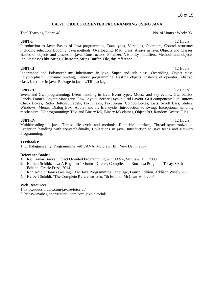### **CA67T: OBJECT ORIENTED PROGRAMMING USING JAVA**

Total Teaching Hours: 48 No. of Hours / Week: 03

Introduction to Java: Basics of Java programming, Data types, Variables, Operators, Control structures including selection, Looping, Java methods, Overloading, Math class, Arrays in java. Objects and Classes: Basics of objects and classes in java, Constructors, Finalizer, Visibility modifiers, Methods and objects, Inbuilt classes like String, Character, String Buffer, File, this reference

**UNIT-II** [12 Hours] Inheritance and Polymorphism: Inheritance in java, Super and sub class, Overriding, Object class, Polymorphism, Dynamic binding, Generic programming, Casting objects, Instance of operator, Abstract class, Interface in java, Package in java, UTIL package.

**UNIT-III** [12 Hours] Event and GUI programming: Event handling in java, Event types, Mouse and key events, GUI Basics, Panels, Frames, Layout Managers: Flow Layout, Border Layout, Grid Layout, GUI components like Buttons, Check Boxes, Radio Buttons, Labels, Text Fields, Text Areas, Combo Boxes, Lists, Scroll Bars, Sliders, Windows, Menus, Dialog Box, Applet and its life cycle, Introduction to swing, Exceptional handling mechanism. I/O programming: Text and Binary I/O, Binary I/O classes, Object I/O, Random Access Files.

**UNIT-IV** [12 Hours] Multithreading in java: Thread life cycle and methods, Runnable interface, Thread synchronization, Exception handling with try-catch-finally, Collections in java, Introduction to JavaBeans and Network Programming.

### **Textbooks:**

1. E. Balagurusamy, Programming with JAVA, McGraw Hill, New Delhi, 2007

### **Reference Books:**

- 1. Raj Kumar Buyya, Object Oriented Programming with JAVA, McGraw Hill, 2009
- 2. Herbert Schildt, Java A Beginner's Guide Create, Compile, and Run Java Programs Today, Sixth Edition, Oracle Press, 2014
- 3. Ken Arnold, James Gosling, "The Java Programming Language, Fourth Edition, Addison Wisely,2005
- 4. Herbert Schildt, 'The Complete Reference Java, 7th Edition, McGraw Hill, 2007

### **Web Resources**

- 1. https://docs.oracle.com/javase/tutorial/
- 2. https://javabeginnerstutorial.com/core-java-tutorial/

**UNIT-I** [12 Hours]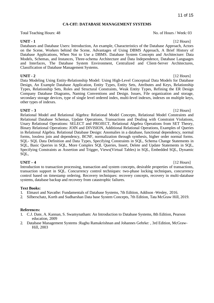### **CA-C8T: DATABASE MANAGEMENT SYSTEMS**

Total Teaching Hours: 48 No. of Hours / Week: 03

**UNIT - 1** [12 Hours] Databases and Database Users: Introduction, An example, Characteristics of the Database Approach, Actors on the Scene, Workers behind the Scene, Advantages of Using DBMS Approach, A Brief History of Database Applications, When Not to Use a DBMS. Database System Concepts and Architecture: Data Models, Schemas, and Instances, Three-schema Architecture and Data Independence, Database Languages and Interfaces, The Database System Environment, Centralized and Client-Server Architectures, Classification of Database Management Systems.

**UNIT - 2** [12 Hours] Data Modeling Using Entity-Relationship Model: Using High-Level Conceptual Data Models for Database Design, An Example Database Application, Entity Types, Entity Sets, Attributes and Keys, Relationship Types, Relationship Sets, Roles and Structural Constraints, Weak Entity Types, Refining the ER Design Company Database Diagrams, Naming Conventions and Design. Issues, File organization and storage, secondary storage devices, type of single level ordered index, multi-level indexes, indexes on multiple keys, other types of indexes.

**UNIT – 3** [12 Hours] Relational Model and Relational Algebra: Relational Model Concepts, Relational Model Constraints and Relational Database Schemas, Update Operations, Transactions and Dealing with Constraint Violations, Unary Relational Operations: SELECT and PROJECT, Relational Algebra Operations from SET Theory, Binary Relational Operations: JOIN and DIVISION, Additional Relational Operations, Examples of Queries in Relational Algebra. Relational Database Design: Anomalies in a database, functional dependency, normal forms, lossless join and dependency, BCNF, normalization through synthesis, higher order normal forms. SQL- SQL Data Definition and Data Types, Specifying Constraints in SQL, Schema Change Statements in SQL, Basic Queries in SQL, More Complex SQL Queries, Insert, Delete and Update Statements in SQL, Specifying Constraints as Assertion and Trigger, Views(Virtual Tables) in SQL, Embedded SQL, Dynamic SQL,

**UNIT – 4** [12 Hours] Introduction to transaction processing, transaction and system concepts, desirable properties of transactions, transaction support in SQL. Concurrency control techniques: two-phase locking techniques, concurrency control based on timestamp ordering. Recovery techniques: recovery concepts, recovery in multi-database systems, database backup and recovery from catastrophic failures.

### **Text Books:**

- 1. Elmasri and Navathe: Fundamentals of Database Systems, 7th Edition, Addison -Wesley, 2016.
- 2. Silberschatz, Korth and Sudharshan Data base System Concepts, 7th Edition, Tata McGraw Hill, 2019.

### **References:**

- 1. C.J. Date, A. Kannan, S. Swamynatham: An Introduction to Database Systems, 8th Edition, Pearson education, 2009
- 2. Database Management Systems :Raghu Ramakrishnan and Johannes Gehrke: , 3rd Edition, McGraw-Hill, 2003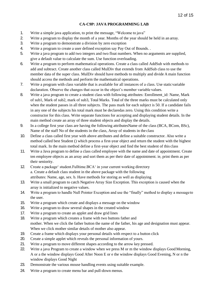### **CA-C9P: JAVA PROGRAMMING LAB**

- 1. Write a simple java application, to print the message, "Welcome to java"
- 2. Write a program to display the month of a year. Months of the year should be held in an array.
- 3. Write a program to demonstrate a division by zero exception
- 4. Write a program to create a user defined exception say Pay Out of Bounds. .
- 5. Write a java program to add two integers and two float numbers. When no arguments are supplied, give a default value to calculate the sum. Use function overloading.
- 6. Write a program to perform mathematical operations. Create a class called AddSub with methods to add and subtract. Create another class called MulDiv that extends from AddSub class to use the member data of the super class. MulDiv should have methods to multiply and divide A main function should access the methods and perform the mathematical operations.
- 7. Write a program with class variable that is available for all instances of a class. Use staticvariable declaration. Observe the changes that occur in the object's member variable values.
- 8. Write a java program to create a student class with following attributes: Enrollment id: Name, Mark of sub1, Mark of sub2, mark of sub3, Total Marks. Total of the three marks must be calculated only when the student passes in all three subjects. The pass mark for each subject is 50. If a candidate fails in any one of the subjects his total mark must be declaredas zero. Using this condition write a constructor for this class. Write separate functions for accepting and displaying student details. In the main method create an array of three student objects and display the details.
- 9. In a college first year class are having the following attributesName of the class (BCA, BCom, BSc), Name of the staff No of the students in the class, Array of students in the class
- 10. Define a class called first year with above attributes and define a suitable constructor. Also write a method called best Student () which process a first-year object and return the student with the highest total mark. In the main method define a first-year object and find the best student of this class
- 11. Write a Java program to define a class called employee with the name and date of appointment. Create ten employee objects as an array and sort them as per their date of appointment. ie, print them as per their seniority.
- 12. Create a package' student.Fulltime.BCA' in your current working directory a. Create a default class student in the above package with the following attributes: Name, age, sex. b. Have methods for storing as well as displaying
- 13. Write a small program to catch Negative Array Size Exception. This exception is caused when the array is initialized to negative values.
- 14. Write a program to handle Null Pointer Exception and use the "finally" method to display a messageto the user.
- 15. Write a program which create and displays a message on the window
- 16. Write a program to draw several shapes in the created window
- 17. Write a program to create an applet and draw grid lines
- 18. Write a program which creates a frame with two buttons father and mother. When we click the father button the name of the father, his age and designation must appear. When we click mother similar details of mother also appear.
- 19. Create a frame which displays your personal details with respect to a button click
- 20. Create a simple applet which reveals the personal information of yours.
- 21. Write a program to move different shapes according to the arrow key pressed.
- 22. Write a java Program to create a window when we press M or m the window displays Good Morning, A or a the window displays Good After Noon E or e the window displays Good Evening, N or n the window displays Good Night
- 23. Demonstrate the various mouse handling events using suitable example.
- 24. Write a program to create menu bar and pull-down menus.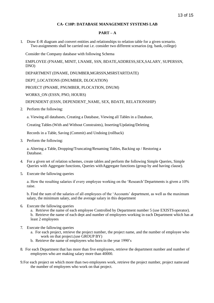### **CA- C10P: DATABASE MANAGEMENT SYSTEMS LAB**

### **PART – A**

1. Draw E-R diagram and convert entities and relationships to relation table for a given scenario. Two assignments shall be carried out i.e. consider two different scenarios (eg. bank, college)

Consider the Company database with following Schema

EMPLOYEE (FNAME, MINIT, LNAME, SSN, BDATE,ADDRESS,SEX,SALARY, SUPERSSN, DNO)

DEPARTMENT (DNAME, DNUMBER,MGRSSN,MSRSTARTDATE)

DEPT\_LOCATIONS (DNUMBER, DLOCATION)

PROJECT (PNAME, PNUMBER, PLOCATION, DNUM)

WORKS\_ON (ESSN, PNO, HOURS)

DEPENDENT (ESSN, DEPENDENT\_NAME, SEX, BDATE, RELATIONSHIP)

2. Perform the following:

a. Viewing all databases, Creating a Database, Viewing all Tables in a Database,

Creating Tables (With and Without Constraints), Inserting/Updating/Deleting

Records in a Table, Saving (Commit) and Undoing (rollback)

3. Perform the following:

a. Altering a Table, Dropping/Truncating/Renaming Tables, Backing up / Restoring a Database.

- 4. For a given set of relation schemes, create tables and perform the following Simple Queries, Simple Queries with Aggregate functions, Queries withAggregate functions (group by and having clause).
- 5. Execute the fallowing queries

a. How the resulting salaries if every employee working on the 'Research'Departments is given a 10% raise.

b. Find the sum of the salaries of all employees of the 'Accounts' department, as well as the maximum salary, the minimum salary, and the average salary in this department

6. Execute the fallowing queries

a. Retrieve the name of each employee Controlled by Department number 5 (use EXISTS operator). b. Retrieve the name of each dept and number of employees working in each Department which has at least 2 employees

- 7. Execute the fallowing queries
	- a. For each project, retrieve the project number, the project name, and the number of employee who work on that project.(use GROUP BY)
	- b. Retrieve the name of employees who born in the year 1990's
- 8. For each Department that has more than five employees, retrieve the department number and number of employees who are making salary more than 40000.
- 9.For each project on which more than two employees work, retrieve the project number, project nameand the number of employees who work on that project.